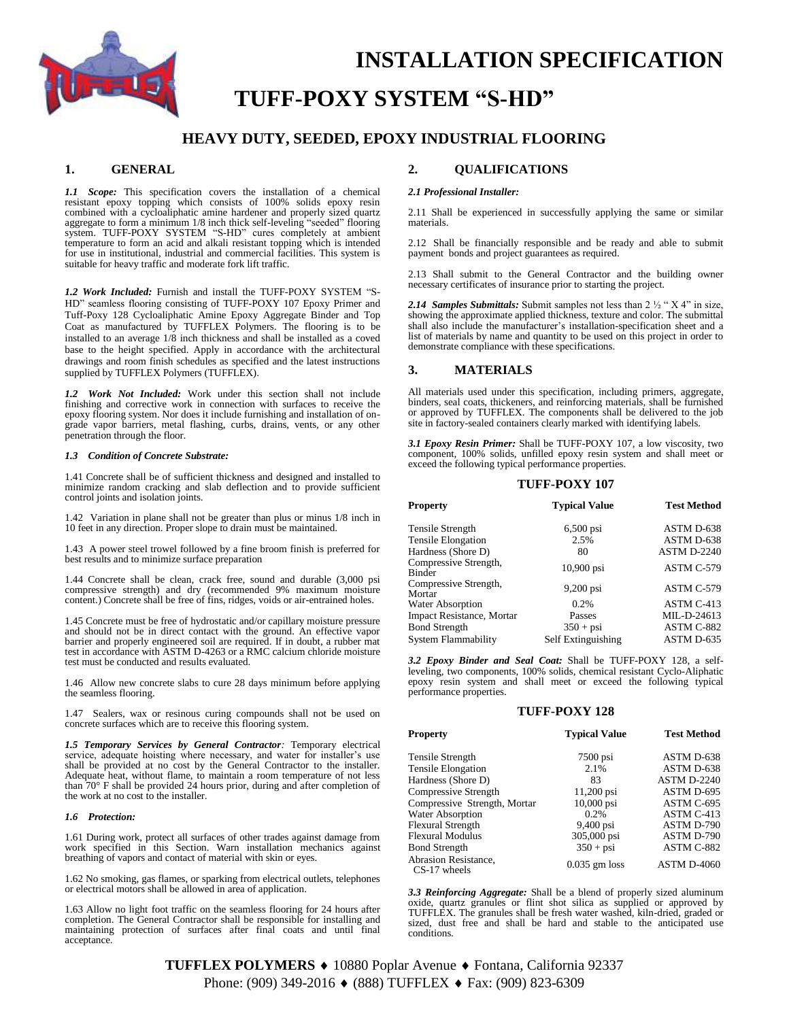

# **INSTALLATION SPECIFICATION TUFF-POXY SYSTEM "S-HD"**

# **HEAVY DUTY, SEEDED, EPOXY INDUSTRIAL FLOORING**

### **1. GENERAL**

*1.1 Scope:* This specification covers the installation of a chemical resistant epoxy topping which consists of 100% solids epoxy resin combined with a cycloaliphatic amine hardener and properly sized quartz aggregate to form a minimum 1/8 inch thick self-leveling "seeded" flooring system. TUFF-POXY SYSTEM "S-HD" cures completely at ambient temperature to form an acid and alkali resistant topping which is intended for use in institutional, industrial and commercial facilities. This system is suitable for heavy traffic and moderate fork lift traffic.

*1.2 Work Included:* Furnish and install the TUFF-POXY SYSTEM "S-HD" seamless flooring consisting of TUFF-POXY 107 Epoxy Primer and Tuff-Poxy 128 Cycloaliphatic Amine Epoxy Aggregate Binder and Top Coat as manufactured by TUFFLEX Polymers. The flooring is to be installed to an average 1/8 inch thickness and shall be installed as a coved base to the height specified. Apply in accordance with the architectural drawings and room finish schedules as specified and the latest instructions supplied by TUFFLEX Polymers (TUFFLEX).

*1.2 Work Not Included:* Work under this section shall not include finishing and corrective work in connection with surfaces to receive the epoxy flooring system. Nor does it include furnishing and installation of ongrade vapor barriers, metal flashing, curbs, drains, vents, or any other penetration through the floor.

#### *1.3 Condition of Concrete Substrate:*

1.41 Concrete shall be of sufficient thickness and designed and installed to minimize random cracking and slab deflection and to provide sufficient control joints and isolation joints.

1.42 Variation in plane shall not be greater than plus or minus 1/8 inch in 10 feet in any direction. Proper slope to drain must be maintained.

1.43 A power steel trowel followed by a fine broom finish is preferred for best results and to minimize surface preparation

1.44 Concrete shall be clean, crack free, sound and durable (3,000 psi compressive strength) and dry (recommended 9% maximum moisture content.) Concrete shall be free of fins, ridges, voids or air-entrained holes.

1.45 Concrete must be free of hydrostatic and/or capillary moisture pressure and should not be in direct contact with the ground. An effective vapor barrier and properly engineered soil are required. If in doubt, a rubber mat test in accordance with ASTM D-4263 or a RMC calcium chloride moisture test must be conducted and results evaluated.

1.46 Allow new concrete slabs to cure 28 days minimum before applying the seamless flooring.

1.47 Sealers, wax or resinous curing compounds shall not be used on concrete surfaces which are to receive this flooring system.

*1.5 Temporary Services by General Contractor:* Temporary electrical service, adequate hoisting where necessary, and water for installer's use shall be provided at no cost by the General Contractor to the installer. Adequate heat, without flame, to maintain a room temperature of not less than 70° F shall be provided 24 hours prior, during and after completion of the work at no cost to the installer.

#### *1.6 Protection:*

1.61 During work, protect all surfaces of other trades against damage from work specified in this Section. Warn installation mechanics against breathing of vapors and contact of material with skin or eyes.

1.62 No smoking, gas flames, or sparking from electrical outlets, telephones or electrical motors shall be allowed in area of application.

1.63 Allow no light foot traffic on the seamless flooring for 24 hours after completion. The General Contractor shall be responsible for installing and maintaining protection of surfaces after final coats and until final acceptance.

# **2. QUALIFICATIONS**

#### *2.1 Professional Installer:*

2.11 Shall be experienced in successfully applying the same or similar materials.

2.12 Shall be financially responsible and be ready and able to submit payment bonds and project guarantees as required.

2.13 Shall submit to the General Contractor and the building owner necessary certificates of insurance prior to starting the project.

*2.14 Samples Submittals:* Submit samples not less than 2 ½ " X 4" in size, showing the approximate applied thickness, texture and color. The submittal shall also include the manufacturer's installation-specification sheet and a list of materials by name and quantity to be used on this project in order to demonstrate compliance with these specifications.

### **3. MATERIALS**

All materials used under this specification, including primers, aggregate, binders, seal coats, thickeners, and reinforcing materials, shall be furnished or approved by TUFFLEX. The components shall be delivered to the job site in factory-sealed containers clearly marked with identifying labels.

*3.1 Epoxy Resin Primer:* Shall be TUFF-POXY 107, a low viscosity, two component, 100% solids, unfilled epoxy resin system and shall meet or exceed the following typical performance properties.

#### **TUFF-POXY 107**

| <b>Property</b>                  | <b>Typical Value</b> | <b>Test Method</b> |
|----------------------------------|----------------------|--------------------|
| Tensile Strength                 | $6,500$ psi          | ASTM D-638         |
| <b>Tensile Elongation</b>        | 2.5%                 | ASTM D-638         |
| Hardness (Shore D)               | 80                   | <b>ASTM D-2240</b> |
| Compressive Strength,<br>Binder  | 10,900 psi           | ASTM C-579         |
| Compressive Strength,<br>Mortar  | $9,200$ psi          | ASTM C-579         |
| <b>Water Absorption</b>          | 0.2%                 | ASTM C-413         |
| <b>Impact Resistance, Mortar</b> | Passes               | MIL-D-24613        |
| <b>Bond Strength</b>             | $350 + psi$          | ASTM C-882         |
| System Flammability              | Self Extinguishing   | ASTM D-635         |

*3.2 Epoxy Binder and Seal Coat:* Shall be TUFF-POXY 128, a selfleveling, two components, 100% solids, chemical resistant Cyclo-Aliphatic epoxy resin system and shall meet or exceed the following typical performance properties.

#### **TUFF-POXY 128**

| <b>Property</b>                      | <b>Typical Value</b> | <b>Test Method</b> |
|--------------------------------------|----------------------|--------------------|
| Tensile Strength                     | $7500$ psi           | ASTM D-638         |
| <b>Tensile Elongation</b>            | 2.1%                 | ASTM D-638         |
| Hardness (Shore D)                   | 83                   | <b>ASTM D-2240</b> |
| Compressive Strength                 | 11,200 psi           | ASTM D-695         |
| Compressive Strength, Mortar         | $10,000$ psi         | ASTM C-695         |
| Water Absorption                     | 0.2%                 | ASTM C-413         |
| <b>Flexural Strength</b>             | 9,400 psi            | ASTM D-790         |
| <b>Flexural Modulus</b>              | 305,000 psi          | ASTM D-790         |
| <b>Bond Strength</b>                 | $350 + psi$          | ASTM C-882         |
| Abrasion Resistance,<br>CS-17 wheels | $0.035$ gm loss      | <b>ASTM D-4060</b> |

*3.3 Reinforcing Aggregate:* Shall be a blend of properly sized aluminum oxide, quartz granules or flint shot silica as supplied or approved by TUFFLEX. The granules shall be fresh water washed, kiln-dried, graded or sized, dust free and shall be hard and stable to the anticipated use conditions.

**TUFFLEX POLYMERS ♦** 10880 Poplar Avenue ♦ Fontana, California 92337 Phone: (909) 349-2016 ♦ (888) TUFFLEX ♦ Fax: (909) 823-6309